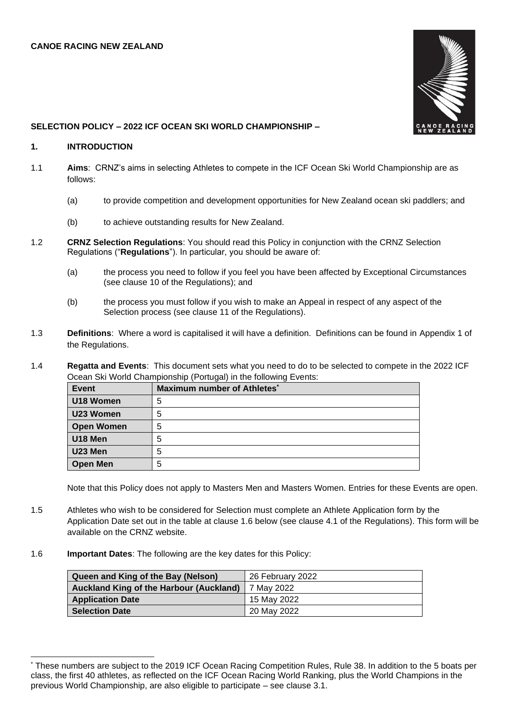

### **SELECTION POLICY – 2022 ICF OCEAN SKI WORLD CHAMPIONSHIP –**

#### **1. INTRODUCTION**

- 1.1 **Aims**: CRNZ's aims in selecting Athletes to compete in the ICF Ocean Ski World Championship are as follows:
	- (a) to provide competition and development opportunities for New Zealand ocean ski paddlers; and
	- (b) to achieve outstanding results for New Zealand.
- 1.2 **CRNZ Selection Regulations**: You should read this Policy in conjunction with the CRNZ Selection Regulations ("**Regulations**"). In particular, you should be aware of:
	- (a) the process you need to follow if you feel you have been affected by Exceptional Circumstances (see clause 10 of the Regulations); and
	- (b) the process you must follow if you wish to make an Appeal in respect of any aspect of the Selection process (see clause 11 of the Regulations).
- 1.3 **Definitions**: Where a word is capitalised it will have a definition. Definitions can be found in Appendix 1 of the Regulations.
- 1.4 **Regatta and Events**: This document sets what you need to do to be selected to compete in the 2022 ICF Ocean Ski World Championship (Portugal) in the following Events:

| Event             | Maximum number of Athletes <sup>*</sup> |
|-------------------|-----------------------------------------|
| U18 Women         | 5                                       |
| U23 Women         | b                                       |
| <b>Open Women</b> | 5                                       |
| U18 Men           |                                         |
| U23 Men           | 5                                       |
| <b>Open Men</b>   | b                                       |

Note that this Policy does not apply to Masters Men and Masters Women. Entries for these Events are open.

- 1.5 Athletes who wish to be considered for Selection must complete an Athlete Application form by the Application Date set out in the table at clause 1.6 below (see clause 4.1 of the Regulations). This form will be available on the CRNZ website.
- 1.6 **Important Dates**: The following are the key dates for this Policy:

| Queen and King of the Bay (Nelson)             | 26 February 2022 |
|------------------------------------------------|------------------|
| <b>Auckland King of the Harbour (Auckland)</b> | ∥ 7 Mav 2022     |
| <b>Application Date</b>                        | 15 May 2022      |
| <b>Selection Date</b>                          | 20 May 2022      |

<sup>\*</sup> These numbers are subject to the 2019 ICF Ocean Racing Competition Rules, Rule 38. In addition to the 5 boats per class, the first 40 athletes, as reflected on the ICF Ocean Racing World Ranking, plus the World Champions in the previous World Championship, are also eligible to participate – see clause 3.1.